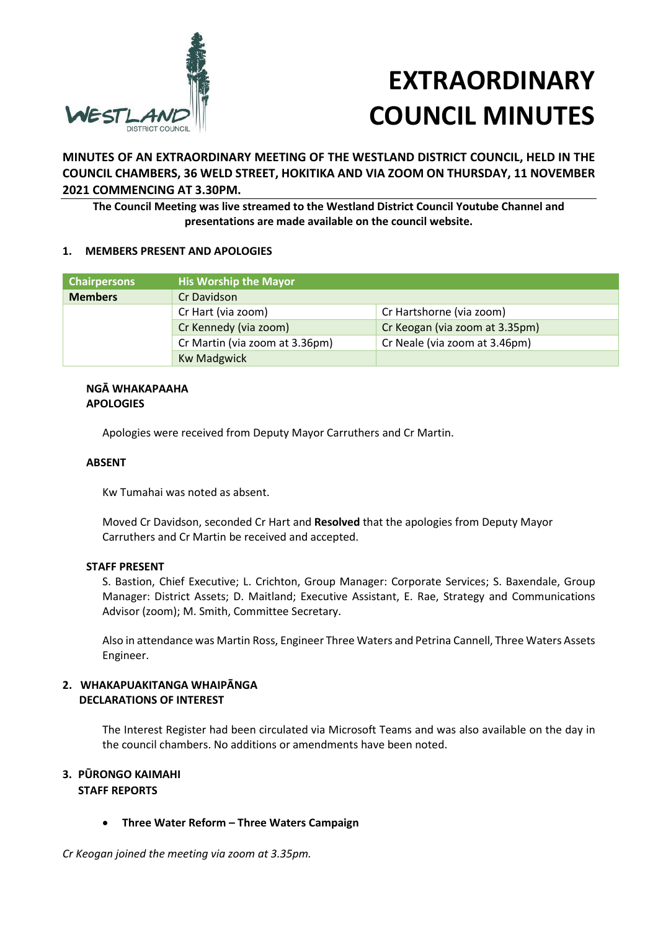

# **EXTRAORDINARY COUNCIL MINUTES**

**MINUTES OF AN EXTRAORDINARY MEETING OF THE WESTLAND DISTRICT COUNCIL, HELD IN THE COUNCIL CHAMBERS, 36 WELD STREET, HOKITIKA AND VIA ZOOM ON THURSDAY, 11 NOVEMBER 2021 COMMENCING AT 3.30PM.**

**The Council Meeting was live streamed to the Westland District Council Youtube Channel and presentations are made available on the council website.**

## **1. MEMBERS PRESENT AND APOLOGIES**

| <b>Chairpersons</b> | <b>His Worship the Mayor</b>   |                                |
|---------------------|--------------------------------|--------------------------------|
| <b>Members</b>      | Cr Davidson                    |                                |
|                     | Cr Hart (via zoom)             | Cr Hartshorne (via zoom)       |
|                     | Cr Kennedy (via zoom)          | Cr Keogan (via zoom at 3.35pm) |
|                     | Cr Martin (via zoom at 3.36pm) | Cr Neale (via zoom at 3.46pm)  |
|                     | <b>Kw Madgwick</b>             |                                |

## **NGĀ WHAKAPAAHA APOLOGIES**

Apologies were received from Deputy Mayor Carruthers and Cr Martin.

## **ABSENT**

Kw Tumahai was noted as absent.

Moved Cr Davidson, seconded Cr Hart and **Resolved** that the apologies from Deputy Mayor Carruthers and Cr Martin be received and accepted.

#### **STAFF PRESENT**

S. Bastion, Chief Executive; L. Crichton, Group Manager: Corporate Services; S. Baxendale, Group Manager: District Assets; D. Maitland; Executive Assistant, E. Rae, Strategy and Communications Advisor (zoom); M. Smith, Committee Secretary.

Also in attendance was Martin Ross, Engineer Three Waters and Petrina Cannell, Three Waters Assets Engineer.

#### **2. WHAKAPUAKITANGA WHAIPĀNGA DECLARATIONS OF INTEREST**

The Interest Register had been circulated via Microsoft Teams and was also available on the day in the council chambers. No additions or amendments have been noted.

## **3. PŪRONGO KAIMAHI**

## **STAFF REPORTS**

**Three Water Reform – Three Waters Campaign**

*Cr Keogan joined the meeting via zoom at 3.35pm.*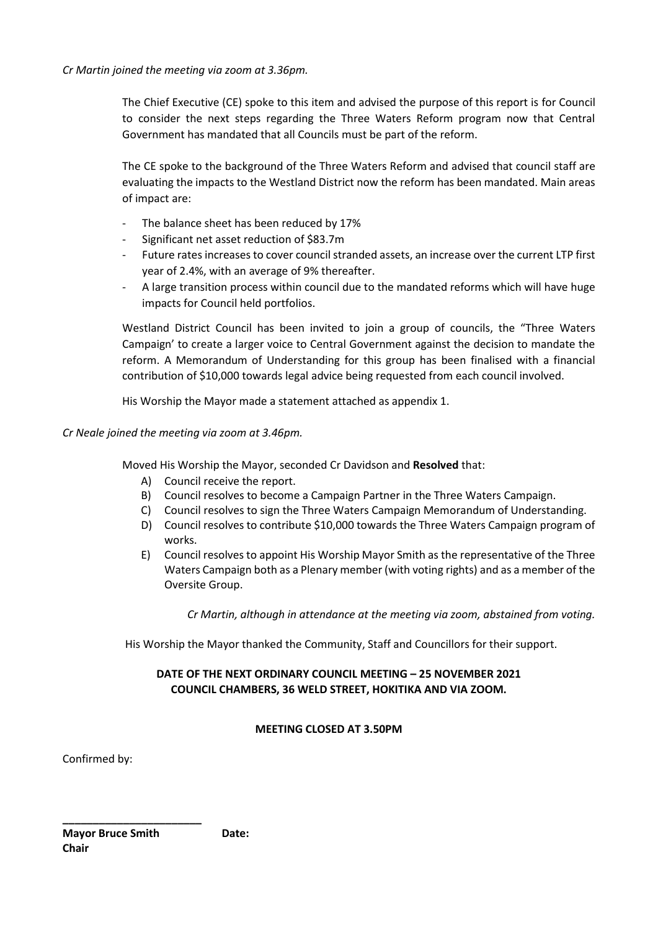The Chief Executive (CE) spoke to this item and advised the purpose of this report is for Council to consider the next steps regarding the Three Waters Reform program now that Central Government has mandated that all Councils must be part of the reform.

The CE spoke to the background of the Three Waters Reform and advised that council staff are evaluating the impacts to the Westland District now the reform has been mandated. Main areas of impact are:

- The balance sheet has been reduced by 17%
- Significant net asset reduction of \$83.7m
- Future rates increases to cover council stranded assets, an increase over the current LTP first year of 2.4%, with an average of 9% thereafter.
- A large transition process within council due to the mandated reforms which will have huge impacts for Council held portfolios.

Westland District Council has been invited to join a group of councils, the "Three Waters Campaign' to create a larger voice to Central Government against the decision to mandate the reform. A Memorandum of Understanding for this group has been finalised with a financial contribution of \$10,000 towards legal advice being requested from each council involved.

His Worship the Mayor made a statement attached as appendix 1.

## *Cr Neale joined the meeting via zoom at 3.46pm.*

Moved His Worship the Mayor, seconded Cr Davidson and **Resolved** that:

- A) Council receive the report.
- B) Council resolves to become a Campaign Partner in the Three Waters Campaign.
- C) Council resolves to sign the Three Waters Campaign Memorandum of Understanding.
- D) Council resolves to contribute \$10,000 towards the Three Waters Campaign program of works.
- E) Council resolves to appoint His Worship Mayor Smith as the representative of the Three Waters Campaign both as a Plenary member (with voting rights) and as a member of the Oversite Group.

*Cr Martin, although in attendance at the meeting via zoom, abstained from voting.*

His Worship the Mayor thanked the Community, Staff and Councillors for their support.

# **DATE OF THE NEXT ORDINARY COUNCIL MEETING – 25 NOVEMBER 2021 COUNCIL CHAMBERS, 36 WELD STREET, HOKITIKA AND VIA ZOOM.**

## **MEETING CLOSED AT 3.50PM**

Confirmed by:

**\_\_\_\_\_\_\_\_\_\_\_\_\_\_\_\_\_\_\_\_\_\_\_ Mayor Bruce Smith <b>Date:** Date: **Chair**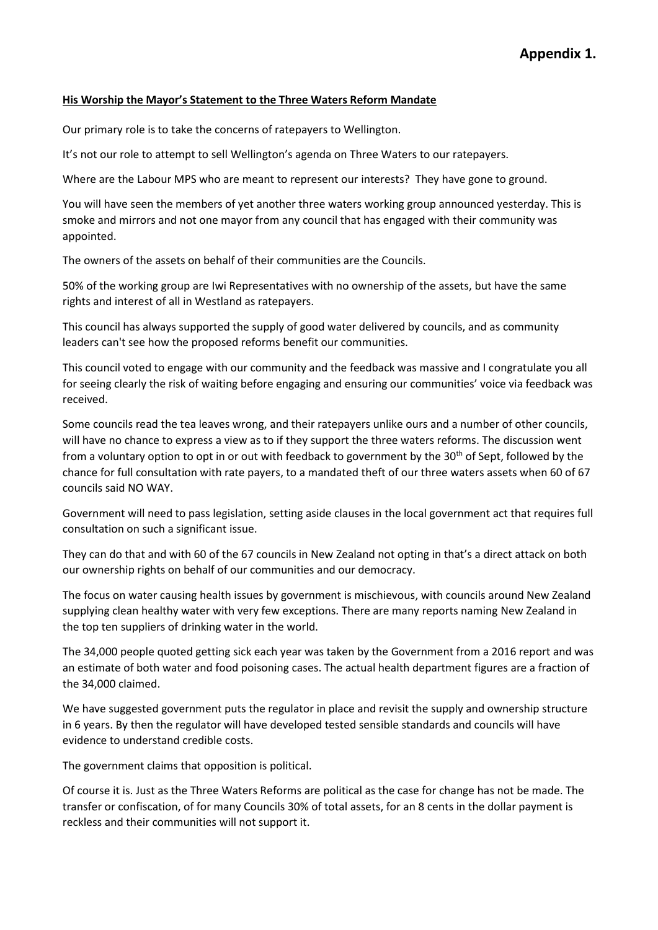## **His Worship the Mayor's Statement to the Three Waters Reform Mandate**

Our primary role is to take the concerns of ratepayers to Wellington.

It's not our role to attempt to sell Wellington's agenda on Three Waters to our ratepayers.

Where are the Labour MPS who are meant to represent our interests? They have gone to ground.

You will have seen the members of yet another three waters working group announced yesterday. This is smoke and mirrors and not one mayor from any council that has engaged with their community was appointed.

The owners of the assets on behalf of their communities are the Councils.

50% of the working group are Iwi Representatives with no ownership of the assets, but have the same rights and interest of all in Westland as ratepayers.

This council has always supported the supply of good water delivered by councils, and as community leaders can't see how the proposed reforms benefit our communities.

This council voted to engage with our community and the feedback was massive and I congratulate you all for seeing clearly the risk of waiting before engaging and ensuring our communities' voice via feedback was received.

Some councils read the tea leaves wrong, and their ratepayers unlike ours and a number of other councils, will have no chance to express a view as to if they support the three waters reforms. The discussion went from a voluntary option to opt in or out with feedback to government by the  $30<sup>th</sup>$  of Sept, followed by the chance for full consultation with rate payers, to a mandated theft of our three waters assets when 60 of 67 councils said NO WAY.

Government will need to pass legislation, setting aside clauses in the local government act that requires full consultation on such a significant issue.

They can do that and with 60 of the 67 councils in New Zealand not opting in that's a direct attack on both our ownership rights on behalf of our communities and our democracy.

The focus on water causing health issues by government is mischievous, with councils around New Zealand supplying clean healthy water with very few exceptions. There are many reports naming New Zealand in the top ten suppliers of drinking water in the world.

The 34,000 people quoted getting sick each year was taken by the Government from a 2016 report and was an estimate of both water and food poisoning cases. The actual health department figures are a fraction of the 34,000 claimed.

We have suggested government puts the regulator in place and revisit the supply and ownership structure in 6 years. By then the regulator will have developed tested sensible standards and councils will have evidence to understand credible costs.

The government claims that opposition is political.

Of course it is. Just as the Three Waters Reforms are political as the case for change has not be made. The transfer or confiscation, of for many Councils 30% of total assets, for an 8 cents in the dollar payment is reckless and their communities will not support it.